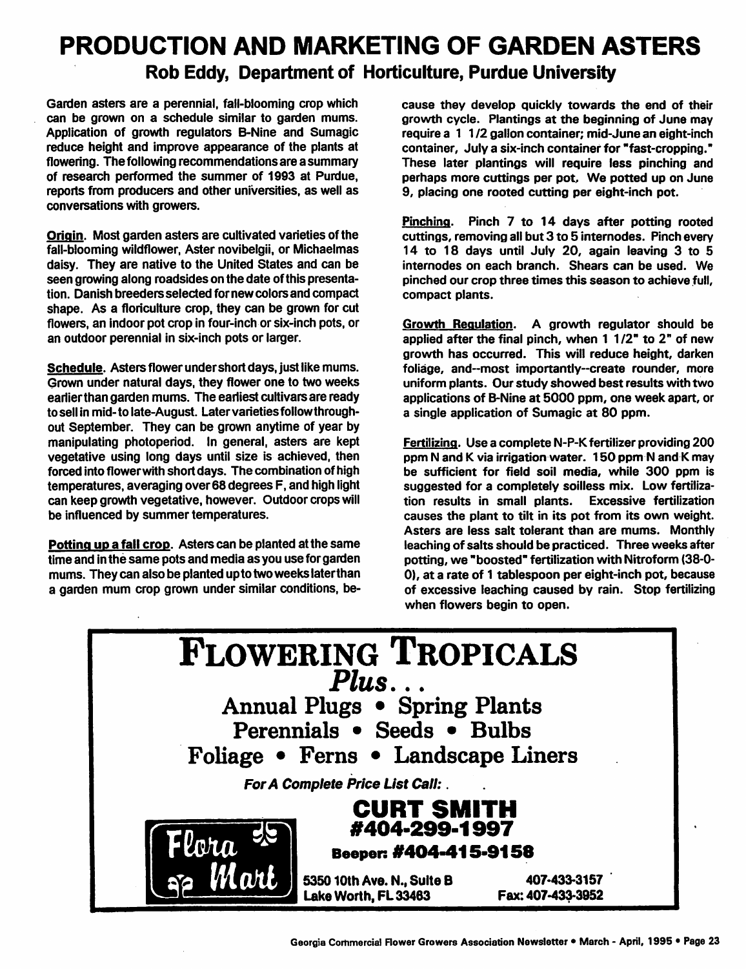## PRODUCTION AND MARKETING OF GARDEN ASTERS *Rob Eddy, Department of Horticulture, Purdue University*

Garden asters are a perennial, fall-blooming crop which can be grown on a schedule similar to garden mums. Application of growth regulators B-Nine and Sumagic reduce height and improve appearance of the plants at flowering. The following recommendations are a summary of research performed the summer of 1993 at Purdue, reports from producers and other universities, as well as conversations with growers.

Origin. Most garden asters are cultivated varieties of the fall-blooming wildflower, Aster novibelgii, or Michaelmas daisy. They are native to the United States and can be seen growing along roadsides on the date of this presenta tion. Danish breedersselected for new colors and compact shape. As a floriculture crop, they can be grown for cut flowers, an indoor pot crop in four-inch or six-inch pots, or an outdoor perennial in six-inch pots or larger.

Schedule. Asters flower under short days, just like mums. Grown under natural days, they flower one to two weeks earlierthan garden mums. The earliest cultivars are ready to sell in mid-to late-August. Later varietiesfollowthrough out September. They can be grown anytime of year by manipulating photoperiod. In general, asters are kept vegetative using long days until size is achieved, then forced into flowerwith short days. The combination of high temperatures, averaging over68 degrees F, and high light can keep growth vegetative, however. Outdoor crops will be influenced by summer temperatures.

*Potting up a fall* crop. Asters can be planted at the same time and inthe same pots and media as you use for garden mums. They can also be planted up to twoweekslaterthan a garden mum crop grown under similar conditions, be cause they develop quickly towards the end of their growth cycle. Plantings at the beginning of June may require *a* 1 1/2 gallon container; mid-June an eight-inch container, July a six-inch container for "fast-cropping." These later plantings will require less pinching and perhaps more cuttings per pot. We potted up on June 9, placing one rooted cutting per eight-inch pot.

Pinching. Pinch 7 to 14 days after potting rooted cuttings, removing all but 3 to 5 internodes. Pinch every 14 to 18 days until July 20, again leaving 3 to 5 internodes on each branch. Shears can be used. We pinched our crop three times this season to achieve full, compact plants.

Growth Regulation. A growth regulator should be applied after the final pinch, when 1 1/2" to 2" of new growth has occurred. This will reduce height, darken foliage, and--most importantly--create rounder, more uniform plants. Our study showed best results with two applications of B-Nine at 5000 ppm, one week apart, or a single application of Sumagic at 80 ppm.

Fertilizing. Use a complete N-P-K fertilizer providing 200 ppm N and K via irrigation water. 150 ppm N and K may be sufficient for field soil media, while 300 ppm is suggested for a completely soilless mix. Low fertiliza tion results in small plants. Excessive fertilization causes the plant to tilt in its pot from its own weight. Asters are less salt tolerant than are mums. Monthly leaching of salts should be practiced. Three weeks after potting, we "boosted" fertilization with Nitroform (38-0- 0), at a rate of 1 tablespoon per eight-inch pot, because of excessive leaching caused by rain. Stop fertilizing when flowers begin to open.

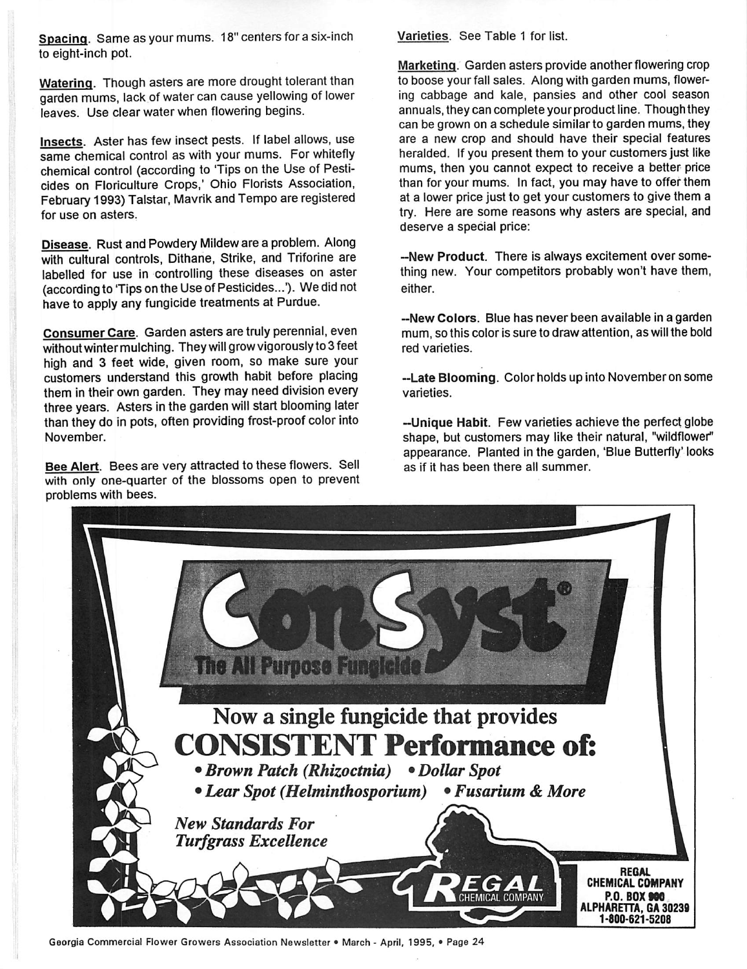*Spacing.* Same as your mums. 18" centers for a six-inch to eight-inch pot.

*Watering.* Though asters are more drought tolerant than garden mums, lack of water can cause yellowing of lower leaves. Use clear water when flowering begins.

*Insects.* Aster has few insect pests. If label allows, use same chemical control as with your mums. For whitefly chemical control (according to 'Tips on the Use of Pesticides on Floriculture Crops,' Ohio Florists Association, February1993)Talstar, Mavrik and Tempo are registered for use on asters.

*Disease.* Rust and Powdery Mildeware a problem. Along with cultural controls, Dithane, Strike, and Triforine are labelled for use in controlling these diseases on aster (according to 'Tips on the Use of Pesticides...'). We did not have to apply any fungicide treatments at Purdue.

*Consumer Care.* Garden asters are truly perennial, even without winter mulching. They will grow vigorously to 3 feet high and 3 feet wide, given room, so make sure your customers understand this growth habit before placing them in their own garden. They may need division every three years. Asters in the garden will start blooming later than they do in pots, often providing frost-proof color into November.

*Bee Alert.* Bees are very attracted to these flowers. Sell with only one-quarter of the blossoms open to prevent problems with bees.

Varieties. See Table <sup>1</sup> for list.

Marketing. Garden asters provide another flowering crop to boose your fall sales. Along with garden mums, flower ing cabbage and kale, pansies and other cool season annuals, they can complete your product line. Though they can be grown on a schedule similar to garden mums, they are a new crop and should have their special features heralded. If you present them to your customers just like mums, then you cannot expect to receive a better price than for your mums. In fact, you may have to offer them at a lower price just to get your customers to give them a try. Here are some reasons why asters are special, and deserve a special price:

*-New Product.* There is always excitement over some thing new. Your competitors probably won't have them, either.

*-New Colors.* Blue has never been available in a garden mum, so this color is sure to draw attention, as will the bold red varieties.

*-Late Blooming.* Color holds up into November on some varieties.

*—Unique Habit.* Few varieties achieve the perfect globe shape, but customers may like their natural, "wildflower" appearance. Planted in the garden, 'Blue Butterfly' looks as if it has been there all summer.



Georgia Commercial Flower Growers Association Newsletter • March - April, 1995, • Page 24